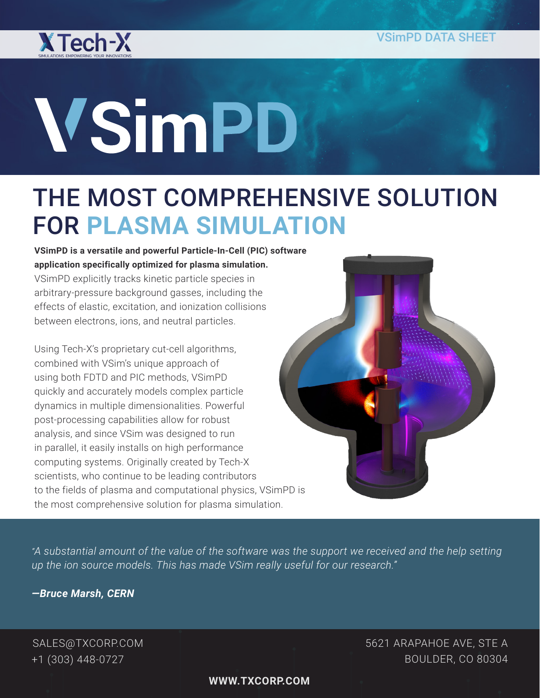

# **VSimPD**

# THE MOST COMPREHENSIVE SOLUTION FOR **PLASMA SIMULATION**

**VSimPD is a versatile and powerful Particle-In-Cell (PIC) software application specifically optimized for plasma simulation.** VSimPD explicitly tracks kinetic particle species in arbitrary-pressure background gasses, including the effects of elastic, excitation, and ionization collisions between electrons, ions, and neutral particles.

Using Tech-X's proprietary cut-cell algorithms, combined with VSim's unique approach of using both FDTD and PIC methods, VSimPD quickly and accurately models complex particle dynamics in multiple dimensionalities. Powerful post-processing capabilities allow for robust analysis, and since VSim was designed to run in parallel, it easily installs on high performance computing systems. Originally created by Tech-X scientists, who continue to be leading contributors to the fields of plasma and computational physics, VSimPD is the most comprehensive solution for plasma simulation.



*"A substantial amount of the value of the software was the support we received and the help setting up the ion source models. This has made VSim really useful for our research."*

*—Bruce Marsh, CERN*

SALES@TXCORP.COM +1 (303) 448-0727

5621 ARAPAHOE AVE, STE A BOULDER, CO 80304

**WWW.TXCORP.COM**